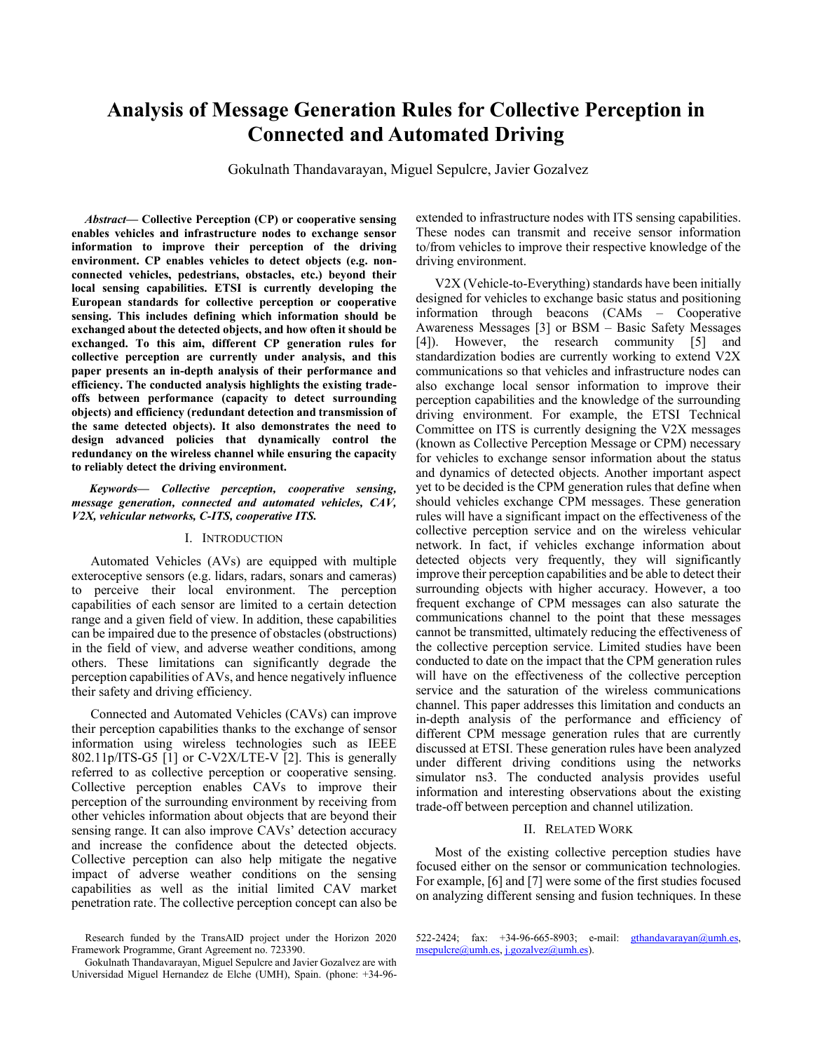# **Analysis of Message Generation Rules for Collective Perception in Connected and Automated Driving**

Gokulnath Thandavarayan, Miguel Sepulcre, Javier Gozalvez

*Abstract***— Collective Perception (CP) or cooperative sensing enables vehicles and infrastructure nodes to exchange sensor information to improve their perception of the driving environment. CP enables vehicles to detect objects (e.g. nonconnected vehicles, pedestrians, obstacles, etc.) beyond their local sensing capabilities. ETSI is currently developing the European standards for collective perception or cooperative sensing. This includes defining which information should be exchanged about the detected objects, and how often it should be exchanged. To this aim, different CP generation rules for collective perception are currently under analysis, and this paper presents an in-depth analysis of their performance and efficiency. The conducted analysis highlights the existing tradeoffs between performance (capacity to detect surrounding objects) and efficiency (redundant detection and transmission of the same detected objects). It also demonstrates the need to design advanced policies that dynamically control the redundancy on the wireless channel while ensuring the capacity to reliably detect the driving environment.**

*Keywords— Collective perception, cooperative sensing, message generation, connected and automated vehicles, CAV, V2X, vehicular networks, C-ITS, cooperative ITS.*

#### I. INTRODUCTION

Automated Vehicles (AVs) are equipped with multiple exteroceptive sensors (e.g. lidars, radars, sonars and cameras) to perceive their local environment. The perception capabilities of each sensor are limited to a certain detection range and a given field of view. In addition, these capabilities can be impaired due to the presence of obstacles (obstructions) in the field of view, and adverse weather conditions, among others. These limitations can significantly degrade the perception capabilities of AVs, and hence negatively influence their safety and driving efficiency.

Connected and Automated Vehicles (CAVs) can improve their perception capabilities thanks to the exchange of sensor information using wireless technologies such as IEEE 802.11p/ITS-G5 [\[1\]](#page-5-0) or C-V2X/LTE-V [\[2\].](#page-5-1) This is generally referred to as collective perception or cooperative sensing. Collective perception enables CAVs to improve their perception of the surrounding environment by receiving from other vehicles information about objects that are beyond their sensing range. It can also improve CAVs' detection accuracy and increase the confidence about the detected objects. Collective perception can also help mitigate the negative impact of adverse weather conditions on the sensing capabilities as well as the initial limited CAV market penetration rate. The collective perception concept can also be extended to infrastructure nodes with ITS sensing capabilities. These nodes can transmit and receive sensor information to/from vehicles to improve their respective knowledge of the driving environment.

V2X (Vehicle-to-Everything) standards have been initially designed for vehicles to exchange basic status and positioning information through beacons (CAMs – Cooperative Awareness Messages [\[3\]](#page-5-2) or BSM – Basic Safety Messages [\[4\]\)](#page-5-3). However, the research community [\[5\]](#page-5-4) and standardization bodies are currently working to extend V2X communications so that vehicles and infrastructure nodes can also exchange local sensor information to improve their perception capabilities and the knowledge of the surrounding driving environment. For example, the ETSI Technical Committee on ITS is currently designing the V2X messages (known as Collective Perception Message or CPM) necessary for vehicles to exchange sensor information about the status and dynamics of detected objects. Another important aspect yet to be decided is the CPM generation rules that define when should vehicles exchange CPM messages. These generation rules will have a significant impact on the effectiveness of the collective perception service and on the wireless vehicular network. In fact, if vehicles exchange information about detected objects very frequently, they will significantly improve their perception capabilities and be able to detect their surrounding objects with higher accuracy. However, a too frequent exchange of CPM messages can also saturate the communications channel to the point that these messages cannot be transmitted, ultimately reducing the effectiveness of the collective perception service. Limited studies have been conducted to date on the impact that the CPM generation rules will have on the effectiveness of the collective perception service and the saturation of the wireless communications channel. This paper addresses this limitation and conducts an in-depth analysis of the performance and efficiency of different CPM message generation rules that are currently discussed at ETSI. These generation rules have been analyzed under different driving conditions using the networks simulator ns3. The conducted analysis provides useful information and interesting observations about the existing trade-off between perception and channel utilization.

## II. RELATED WORK

Most of the existing collective perception studies have focused either on the sensor or communication technologies. For example[, \[6\]](#page-5-5) an[d \[7\]](#page-5-6) were some of the first studies focused on analyzing different sensing and fusion techniques. In these

Research funded by the TransAID project under the Horizon 2020 Framework Programme, Grant Agreement no. 723390.

Gokulnath Thandavarayan, Miguel Sepulcre and Javier Gozalvez are with Universidad Miguel Hernandez de Elche (UMH), Spain. (phone: +34-96-

<sup>522-2424;</sup> fax:  $+34-96-665-8903$ ; e-mail: [gthandavarayan@umh.es,](mailto:gthandavarayan@umh.es) [msepulcre@umh.es,](mailto:msepulcre@umh.es) [j.gozalvez@umh.es\)](mailto:j.gozalvez@umh.es).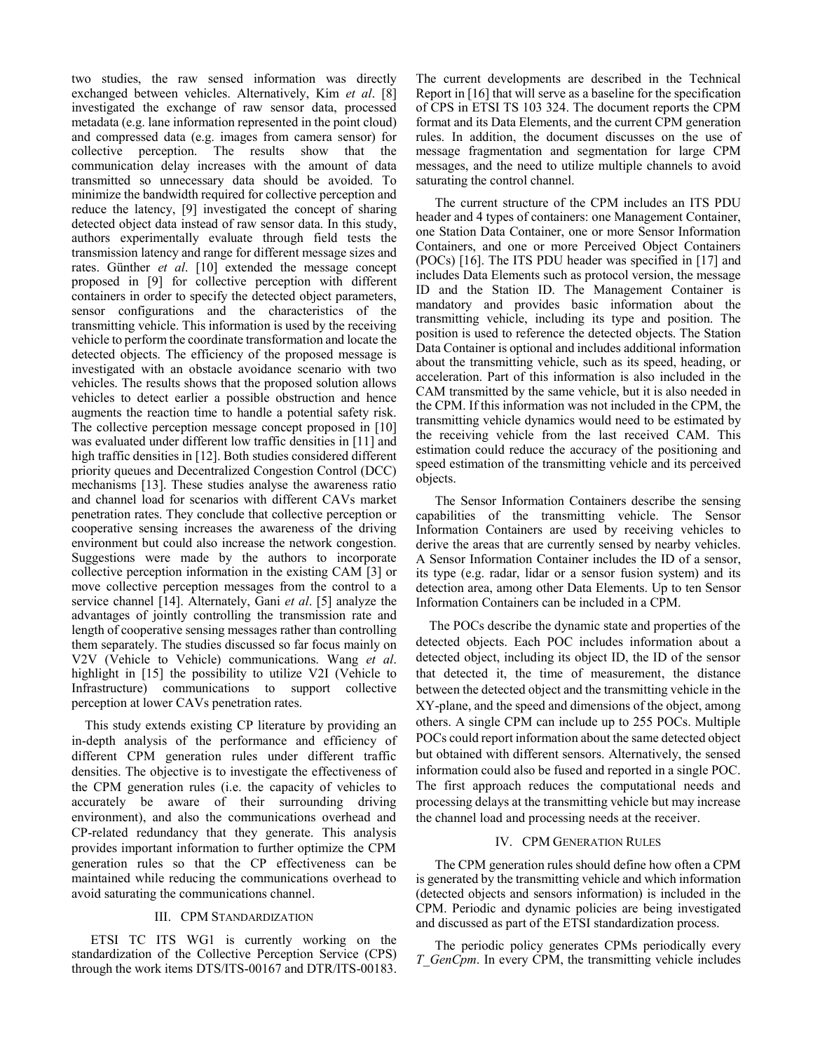two studies, the raw sensed information was directly exchanged between vehicles. Alternatively, Kim *et al*. [\[8\]](#page-5-7) investigated the exchange of raw sensor data, processed metadata (e.g. lane information represented in the point cloud) and compressed data (e.g. images from camera sensor) for collective perception. The results show that the communication delay increases with the amount of data transmitted so unnecessary data should be avoided. To minimize the bandwidth required for collective perception and reduce the latency, [\[9\]](#page-5-8) investigated the concept of sharing detected object data instead of raw sensor data. In this study, authors experimentally evaluate through field tests the transmission latency and range for different message sizes and rates. Günther *et al*. [\[10\]](#page-5-9) extended the message concept proposed in [\[9\]](#page-5-8) for collective perception with different containers in order to specify the detected object parameters, sensor configurations and the characteristics of the transmitting vehicle. This information is used by the receiving vehicle to perform the coordinate transformation and locate the detected objects. The efficiency of the proposed message is investigated with an obstacle avoidance scenario with two vehicles. The results shows that the proposed solution allows vehicles to detect earlier a possible obstruction and hence augments the reaction time to handle a potential safety risk. The collective perception message concept proposed in [\[10\]](#page-5-9) was evaluated under different low traffic densities i[n \[11\]](#page-5-10) and high traffic densities in [\[12\].](#page-5-11) Both studies considered different priority queues and Decentralized Congestion Control (DCC) mechanisms [\[13\].](#page-5-12) These studies analyse the awareness ratio and channel load for scenarios with different CAVs market penetration rates. They conclude that collective perception or cooperative sensing increases the awareness of the driving environment but could also increase the network congestion. Suggestions were made by the authors to incorporate collective perception information in the existing CAM [\[3\]](#page-5-2) or move collective perception messages from the control to a service channel [\[14\].](#page-5-13) Alternately, Gani *et al*. [\[5\]](#page-5-4) analyze the advantages of jointly controlling the transmission rate and length of cooperative sensing messages rather than controlling them separately. The studies discussed so far focus mainly on V2V (Vehicle to Vehicle) communications. Wang *et al*. highlight in [\[15\]](#page-5-14) the possibility to utilize V2I (Vehicle to Infrastructure) communications to support collective perception at lower CAVs penetration rates.

This study extends existing CP literature by providing an in-depth analysis of the performance and efficiency of different CPM generation rules under different traffic densities. The objective is to investigate the effectiveness of the CPM generation rules (i.e. the capacity of vehicles to accurately be aware of their surrounding driving environment), and also the communications overhead and CP-related redundancy that they generate. This analysis provides important information to further optimize the CPM generation rules so that the CP effectiveness can be maintained while reducing the communications overhead to avoid saturating the communications channel.

# III. CPM STANDARDIZATION

ETSI TC ITS WG1 is currently working on the standardization of the Collective Perception Service (CPS) through the work items DTS/ITS-00167 and DTR/ITS-00183. The current developments are described in the Technical Report i[n \[16\]](#page-5-15) that will serve as a baseline for the specification of CPS in ETSI TS 103 324. The document reports the CPM format and its Data Elements, and the current CPM generation rules. In addition, the document discusses on the use of message fragmentation and segmentation for large CPM messages, and the need to utilize multiple channels to avoid saturating the control channel.

The current structure of the CPM includes an ITS PDU header and 4 types of containers: one Management Container, one Station Data Container, one or more Sensor Information Containers, and one or more Perceived Object Containers (POCs) [\[16\].](#page-5-15) The ITS PDU header was specified in [\[17\]](#page-5-16) and includes Data Elements such as protocol version, the message ID and the Station ID. The Management Container is mandatory and provides basic information about the transmitting vehicle, including its type and position. The position is used to reference the detected objects. The Station Data Container is optional and includes additional information about the transmitting vehicle, such as its speed, heading, or acceleration. Part of this information is also included in the CAM transmitted by the same vehicle, but it is also needed in the CPM. If this information was not included in the CPM, the transmitting vehicle dynamics would need to be estimated by the receiving vehicle from the last received CAM. This estimation could reduce the accuracy of the positioning and speed estimation of the transmitting vehicle and its perceived objects.

The Sensor Information Containers describe the sensing capabilities of the transmitting vehicle. The Sensor Information Containers are used by receiving vehicles to derive the areas that are currently sensed by nearby vehicles. A Sensor Information Container includes the ID of a sensor, its type (e.g. radar, lidar or a sensor fusion system) and its detection area, among other Data Elements. Up to ten Sensor Information Containers can be included in a CPM.

The POCs describe the dynamic state and properties of the detected objects. Each POC includes information about a detected object, including its object ID, the ID of the sensor that detected it, the time of measurement, the distance between the detected object and the transmitting vehicle in the XY-plane, and the speed and dimensions of the object, among others. A single CPM can include up to 255 POCs. Multiple POCs could report information about the same detected object but obtained with different sensors. Alternatively, the sensed information could also be fused and reported in a single POC. The first approach reduces the computational needs and processing delays at the transmitting vehicle but may increase the channel load and processing needs at the receiver.

#### IV. CPM GENERATION RULES

The CPM generation rules should define how often a CPM is generated by the transmitting vehicle and which information (detected objects and sensors information) is included in the CPM. Periodic and dynamic policies are being investigated and discussed as part of the ETSI standardization process.

The periodic policy generates CPMs periodically every *T\_GenCpm*. In every CPM, the transmitting vehicle includes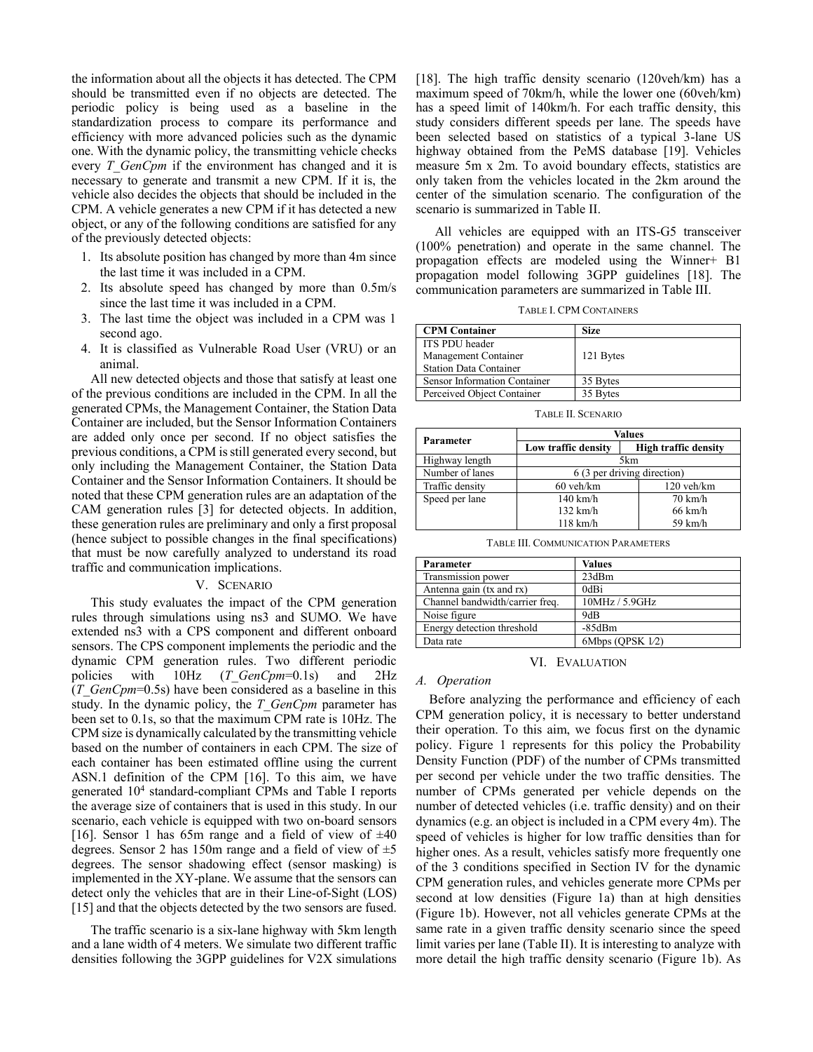the information about all the objects it has detected. The CPM should be transmitted even if no objects are detected. The periodic policy is being used as a baseline in the standardization process to compare its performance and efficiency with more advanced policies such as the dynamic one. With the dynamic policy, the transmitting vehicle checks every *T\_GenCpm* if the environment has changed and it is necessary to generate and transmit a new CPM. If it is, the vehicle also decides the objects that should be included in the CPM. A vehicle generates a new CPM if it has detected a new object, or any of the following conditions are satisfied for any of the previously detected objects:

- 1. Its absolute position has changed by more than 4m since the last time it was included in a CPM.
- 2. Its absolute speed has changed by more than 0.5m/s since the last time it was included in a CPM.
- 3. The last time the object was included in a CPM was 1 second ago.
- 4. It is classified as Vulnerable Road User (VRU) or an animal.

All new detected objects and those that satisfy at least one of the previous conditions are included in the CPM. In all the generated CPMs, the Management Container, the Station Data Container are included, but the Sensor Information Containers are added only once per second. If no object satisfies the previous conditions, a CPM is still generated every second, but only including the Management Container, the Station Data Container and the Sensor Information Containers. It should be noted that these CPM generation rules are an adaptation of the CAM generation rules [\[3\]](#page-5-2) for detected objects. In addition, these generation rules are preliminary and only a first proposal (hence subject to possible changes in the final specifications) that must be now carefully analyzed to understand its road traffic and communication implications.

#### V. SCENARIO

This study evaluates the impact of the CPM generation rules through simulations using ns3 and SUMO. We have extended ns3 with a CPS component and different onboard sensors. The CPS component implements the periodic and the dynamic CPM generation rules. Two different periodic policies with 10Hz (*T\_GenCpm*=0.1s) and 2Hz (*T\_GenCpm*=0.5s) have been considered as a baseline in this study. In the dynamic policy, the *T\_GenCpm* parameter has been set to 0.1s, so that the maximum CPM rate is 10Hz. The CPM size is dynamically calculated by the transmitting vehicle based on the number of containers in each CPM. The size of each container has been estimated offline using the current ASN.1 definition of the CPM [\[16\].](#page-5-15) To this aim, we have generated 10<sup>4</sup> standard-compliant CPMs and Table I reports the average size of containers that is used in this study. In our scenario, each vehicle is equipped with two on-board sensors [\[16\].](#page-5-15) Sensor 1 has 65m range and a field of view of  $\pm 40$ degrees. Sensor 2 has 150m range and a field of view of  $\pm$ 5 degrees. The sensor shadowing effect (sensor masking) is implemented in the XY-plane. We assume that the sensors can detect only the vehicles that are in their Line-of-Sight (LOS) [\[15\]](#page-5-14) and that the objects detected by the two sensors are fused.

The traffic scenario is a six-lane highway with 5km length and a lane width of 4 meters. We simulate two different traffic densities following the 3GPP guidelines for V2X simulations [\[18\].](#page-5-17) The high traffic density scenario (120veh/km) has a maximum speed of 70km/h, while the lower one (60veh/km) has a speed limit of 140km/h. For each traffic density, this study considers different speeds per lane. The speeds have been selected based on statistics of a typical 3-lane US highway obtained from the PeMS database [\[19\].](#page-5-18) Vehicles measure 5m x 2m. To avoid boundary effects, statistics are only taken from the vehicles located in the 2km around the center of the simulation scenario. The configuration of the scenario is summarized in Table II.

All vehicles are equipped with an ITS-G5 transceiver (100% penetration) and operate in the same channel. The propagation effects are modeled using the Winner+ B1 propagation model following 3GPP guidelines [\[18\].](#page-5-17) The communication parameters are summarized in Table III.

TABLE I. CPM CONTAINERS

| <b>CPM Container</b>          | <b>Size</b> |
|-------------------------------|-------------|
| ITS PDU header                |             |
| Management Container          | 121 Bytes   |
| <b>Station Data Container</b> |             |
| Sensor Information Container  | 35 Bytes    |
| Perceived Object Container    | 35 Bytes    |

TABLE II. SCENARIO

|                 | <b>Values</b>               |                             |  |
|-----------------|-----------------------------|-----------------------------|--|
| Parameter       | Low traffic density         | <b>High traffic density</b> |  |
| Highway length  | 5km                         |                             |  |
| Number of lanes | 6 (3 per driving direction) |                             |  |
| Traffic density | $60$ veh/km                 | $120$ veh/km                |  |
| Speed per lane  | $140$ km/h                  | $70 \text{ km/h}$           |  |
|                 | $132$ km/h                  | $66 \text{ km/h}$           |  |
|                 | $118 \text{ km/h}$          | 59 km/h                     |  |

TABLE III. COMMUNICATION PARAMETERS

| Parameter                       | <b>Values</b>    |
|---------------------------------|------------------|
| Transmission power              | 23dBm            |
| Antenna gain (tx and rx)        | 0dBi             |
| Channel bandwidth/carrier freq. | 10MHz / 5.9GHz   |
| Noise figure                    | 9dB              |
| Energy detection threshold      | $-85dBm$         |
| Data rate                       | 6Mbps (QPSK 1/2) |

VI. EVALUATION

### *A. Operation*

Before analyzing the performance and efficiency of each CPM generation policy, it is necessary to better understand their operation. To this aim, we focus first on the dynamic policy. [Figure 1](#page-3-0) represents for this policy the Probability Density Function (PDF) of the number of CPMs transmitted per second per vehicle under the two traffic densities. The number of CPMs generated per vehicle depends on the number of detected vehicles (i.e. traffic density) and on their dynamics (e.g. an object is included in a CPM every 4m). The speed of vehicles is higher for low traffic densities than for higher ones. As a result, vehicles satisfy more frequently one of the 3 conditions specified in Section IV for the dynamic CPM generation rules, and vehicles generate more CPMs per second at low densities [\(Figure 1a](#page-3-0)) than at high densities [\(Figure 1b](#page-3-0)). However, not all vehicles generate CPMs at the same rate in a given traffic density scenario since the speed limit varies per lane (Table II). It is interesting to analyze with more detail the high traffic density scenario [\(Figure 1b](#page-3-0)). As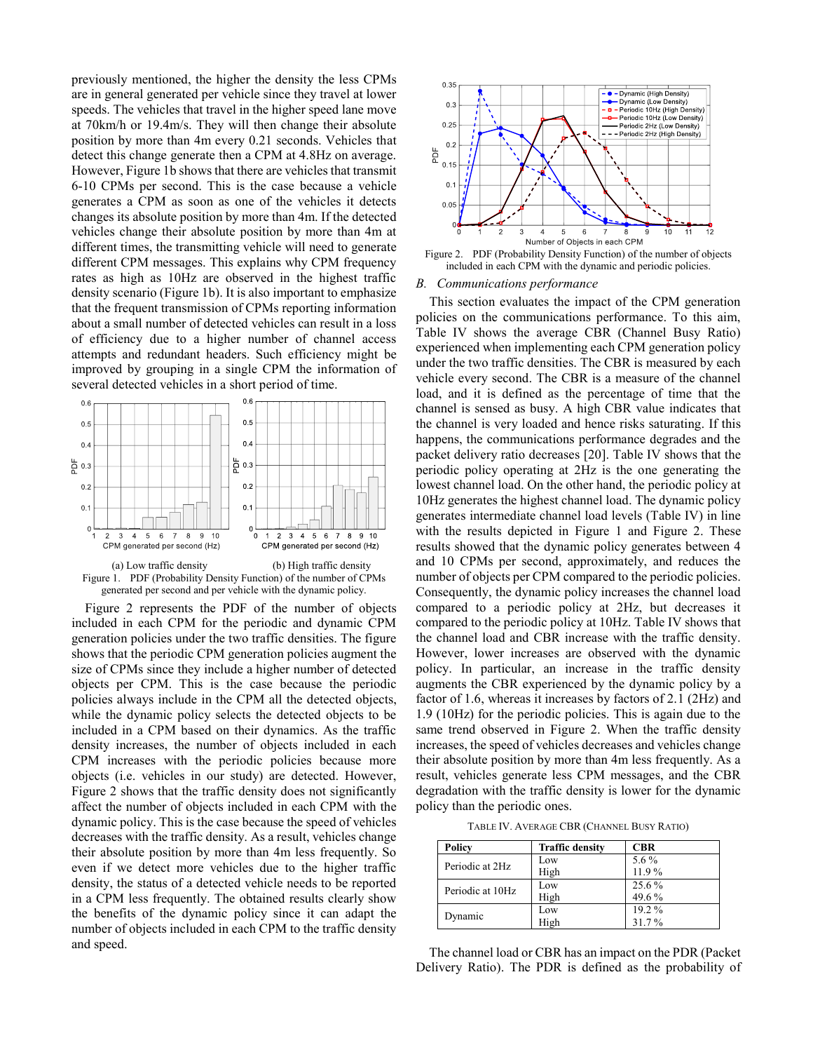previously mentioned, the higher the density the less CPMs are in general generated per vehicle since they travel at lower speeds. The vehicles that travel in the higher speed lane move at 70km/h or 19.4m/s. They will then change their absolute position by more than 4m every 0.21 seconds. Vehicles that detect this change generate then a CPM at 4.8Hz on average. However, [Figure 1b](#page-3-0) shows that there are vehicles that transmit 6-10 CPMs per second. This is the case because a vehicle generates a CPM as soon as one of the vehicles it detects changes its absolute position by more than 4m. If the detected vehicles change their absolute position by more than 4m at different times, the transmitting vehicle will need to generate different CPM messages. This explains why CPM frequency rates as high as 10Hz are observed in the highest traffic density scenario [\(Figure 1b](#page-3-0)). It is also important to emphasize that the frequent transmission of CPMs reporting information about a small number of detected vehicles can result in a loss of efficiency due to a higher number of channel access attempts and redundant headers. Such efficiency might be improved by grouping in a single CPM the information of several detected vehicles in a short period of time.





<span id="page-3-0"></span>[Figure 2](#page-3-1) represents the PDF of the number of objects included in each CPM for the periodic and dynamic CPM generation policies under the two traffic densities. The figure shows that the periodic CPM generation policies augment the size of CPMs since they include a higher number of detected objects per CPM. This is the case because the periodic policies always include in the CPM all the detected objects, while the dynamic policy selects the detected objects to be included in a CPM based on their dynamics. As the traffic density increases, the number of objects included in each CPM increases with the periodic policies because more objects (i.e. vehicles in our study) are detected. However, [Figure 2](#page-3-1) shows that the traffic density does not significantly affect the number of objects included in each CPM with the dynamic policy. This is the case because the speed of vehicles decreases with the traffic density. As a result, vehicles change their absolute position by more than 4m less frequently. So even if we detect more vehicles due to the higher traffic density, the status of a detected vehicle needs to be reported in a CPM less frequently. The obtained results clearly show the benefits of the dynamic policy since it can adapt the number of objects included in each CPM to the traffic density and speed.



<span id="page-3-1"></span>Figure 2. PDF (Probability Density Function) of the number of objects included in each CPM with the dynamic and periodic policies.

# *B. Communications performance*

This section evaluates the impact of the CPM generation policies on the communications performance. To this aim, Table IV shows the average CBR (Channel Busy Ratio) experienced when implementing each CPM generation policy under the two traffic densities. The CBR is measured by each vehicle every second. The CBR is a measure of the channel load, and it is defined as the percentage of time that the channel is sensed as busy. A high CBR value indicates that the channel is very loaded and hence risks saturating. If this happens, the communications performance degrades and the packet delivery ratio decreases [\[20\].](#page-5-19) Table IV shows that the periodic policy operating at 2Hz is the one generating the lowest channel load. On the other hand, the periodic policy at 10Hz generates the highest channel load. The dynamic policy generates intermediate channel load levels (Table IV) in line with the results depicted in [Figure 1](#page-3-0) and [Figure 2.](#page-3-1) These results showed that the dynamic policy generates between 4 and 10 CPMs per second, approximately, and reduces the number of objects per CPM compared to the periodic policies. Consequently, the dynamic policy increases the channel load compared to a periodic policy at 2Hz, but decreases it compared to the periodic policy at 10Hz. Table IV shows that the channel load and CBR increase with the traffic density. However, lower increases are observed with the dynamic policy. In particular, an increase in the traffic density augments the CBR experienced by the dynamic policy by a factor of 1.6, whereas it increases by factors of 2.1 (2Hz) and 1.9 (10Hz) for the periodic policies. This is again due to the same trend observed in [Figure 2.](#page-3-1) When the traffic density increases, the speed of vehicles decreases and vehicles change their absolute position by more than 4m less frequently. As a result, vehicles generate less CPM messages, and the CBR degradation with the traffic density is lower for the dynamic policy than the periodic ones.

TABLE IV. AVERAGE CBR (CHANNEL BUSY RATIO)

| Policy           | <b>Traffic density</b> | <b>CBR</b> |
|------------------|------------------------|------------|
| Periodic at 2Hz  | Low                    | 5.6 %      |
|                  | High                   | 11.9%      |
| Periodic at 10Hz | Low                    | 25.6%      |
|                  | High                   | 49.6%      |
| Dynamic          | Low                    | 19.2 %     |
|                  | High                   | 31.7%      |

The channel load or CBR has an impact on the PDR (Packet Delivery Ratio). The PDR is defined as the probability of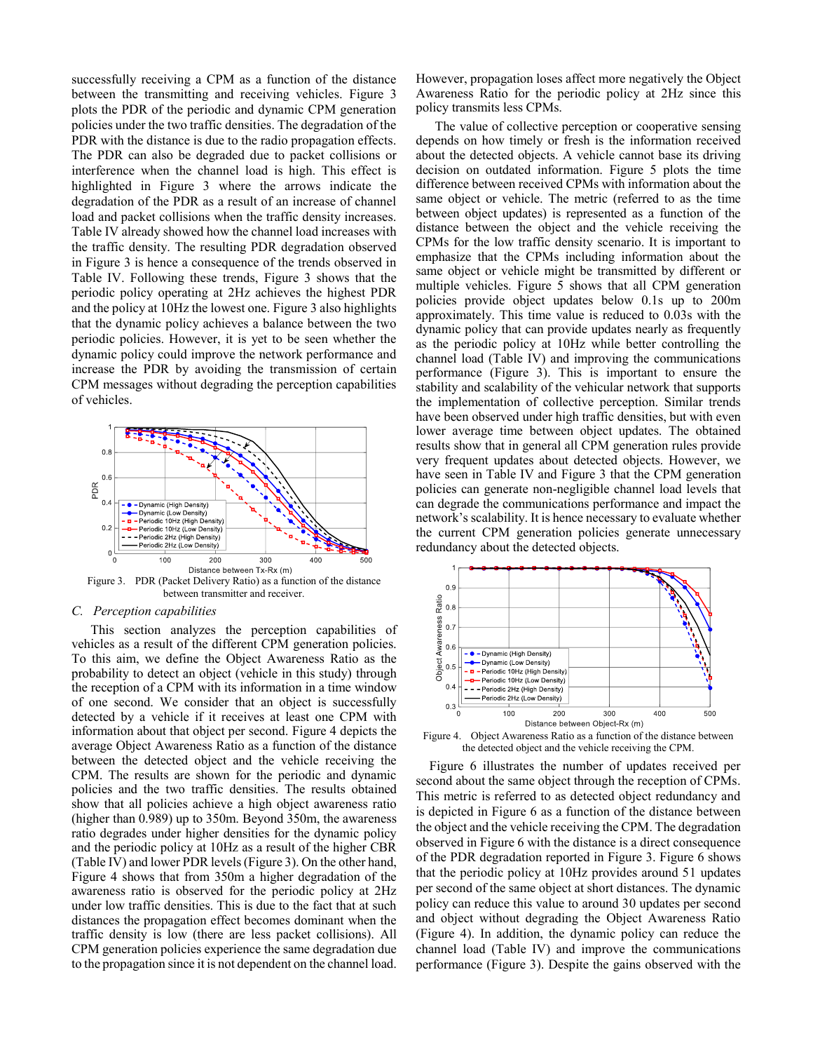successfully receiving a CPM as a function of the distance between the transmitting and receiving vehicles. [Figure 3](#page-4-0) plots the PDR of the periodic and dynamic CPM generation policies under the two traffic densities. The degradation of the PDR with the distance is due to the radio propagation effects. The PDR can also be degraded due to packet collisions or interference when the channel load is high. This effect is highlighted in [Figure 3](#page-4-0) where the arrows indicate the degradation of the PDR as a result of an increase of channel load and packet collisions when the traffic density increases. Table IV already showed how the channel load increases with the traffic density. The resulting PDR degradation observed in [Figure 3](#page-4-0) is hence a consequence of the trends observed in Table IV. Following these trends, [Figure 3](#page-4-0) shows that the periodic policy operating at 2Hz achieves the highest PDR and the policy at 10Hz the lowest one[. Figure 3](#page-4-0) also highlights that the dynamic policy achieves a balance between the two periodic policies. However, it is yet to be seen whether the dynamic policy could improve the network performance and increase the PDR by avoiding the transmission of certain CPM messages without degrading the perception capabilities of vehicles.



<span id="page-4-0"></span>Figure 3. PDR (Packet Delivery Ratio) as a function of the distance between transmitter and receiver.

## *C. Perception capabilities*

This section analyzes the perception capabilities of vehicles as a result of the different CPM generation policies. To this aim, we define the Object Awareness Ratio as the probability to detect an object (vehicle in this study) through the reception of a CPM with its information in a time window of one second. We consider that an object is successfully detected by a vehicle if it receives at least one CPM with information about that object per second. [Figure 4](#page-4-1) depicts the average Object Awareness Ratio as a function of the distance between the detected object and the vehicle receiving the CPM. The results are shown for the periodic and dynamic policies and the two traffic densities. The results obtained show that all policies achieve a high object awareness ratio (higher than 0.989) up to 350m. Beyond 350m, the awareness ratio degrades under higher densities for the dynamic policy and the periodic policy at 10Hz as a result of the higher CBR (Table IV) and lower PDR levels [\(Figure 3\)](#page-4-0). On the other hand, [Figure 4](#page-4-1) shows that from 350m a higher degradation of the awareness ratio is observed for the periodic policy at 2Hz under low traffic densities. This is due to the fact that at such distances the propagation effect becomes dominant when the traffic density is low (there are less packet collisions). All CPM generation policies experience the same degradation due to the propagation since it is not dependent on the channel load.

However, propagation loses affect more negatively the Object Awareness Ratio for the periodic policy at 2Hz since this policy transmits less CPMs.

The value of collective perception or cooperative sensing depends on how timely or fresh is the information received about the detected objects. A vehicle cannot base its driving decision on outdated information. [Figure 5](#page-5-20) plots the time difference between received CPMs with information about the same object or vehicle. The metric (referred to as the time between object updates) is represented as a function of the distance between the object and the vehicle receiving the CPMs for the low traffic density scenario. It is important to emphasize that the CPMs including information about the same object or vehicle might be transmitted by different or multiple vehicles. [Figure 5](#page-5-20) shows that all CPM generation policies provide object updates below 0.1s up to 200m approximately. This time value is reduced to 0.03s with the dynamic policy that can provide updates nearly as frequently as the periodic policy at 10Hz while better controlling the channel load (Table IV) and improving the communications performance [\(Figure 3\)](#page-4-0). This is important to ensure the stability and scalability of the vehicular network that supports the implementation of collective perception. Similar trends have been observed under high traffic densities, but with even lower average time between object updates. The obtained results show that in general all CPM generation rules provide very frequent updates about detected objects. However, we have seen in Table IV and [Figure 3](#page-4-0) that the CPM generation policies can generate non-negligible channel load levels that can degrade the communications performance and impact the network's scalability. It is hence necessary to evaluate whether the current CPM generation policies generate unnecessary redundancy about the detected objects.



<span id="page-4-1"></span>Figure 4. Object Awareness Ratio as a function of the distance between the detected object and the vehicle receiving the CPM.

[Figure 6](#page-5-21) illustrates the number of updates received per second about the same object through the reception of CPMs. This metric is referred to as detected object redundancy and is depicted in [Figure 6](#page-5-21) as a function of the distance between the object and the vehicle receiving the CPM. The degradation observed i[n Figure 6](#page-5-21) with the distance is a direct consequence of the PDR degradation reported i[n Figure 3.](#page-4-0) [Figure 6](#page-5-21) shows that the periodic policy at 10Hz provides around 51 updates per second of the same object at short distances. The dynamic policy can reduce this value to around 30 updates per second and object without degrading the Object Awareness Ratio [\(Figure 4\)](#page-4-1). In addition, the dynamic policy can reduce the channel load (Table IV) and improve the communications performance [\(Figure 3\)](#page-4-0). Despite the gains observed with the